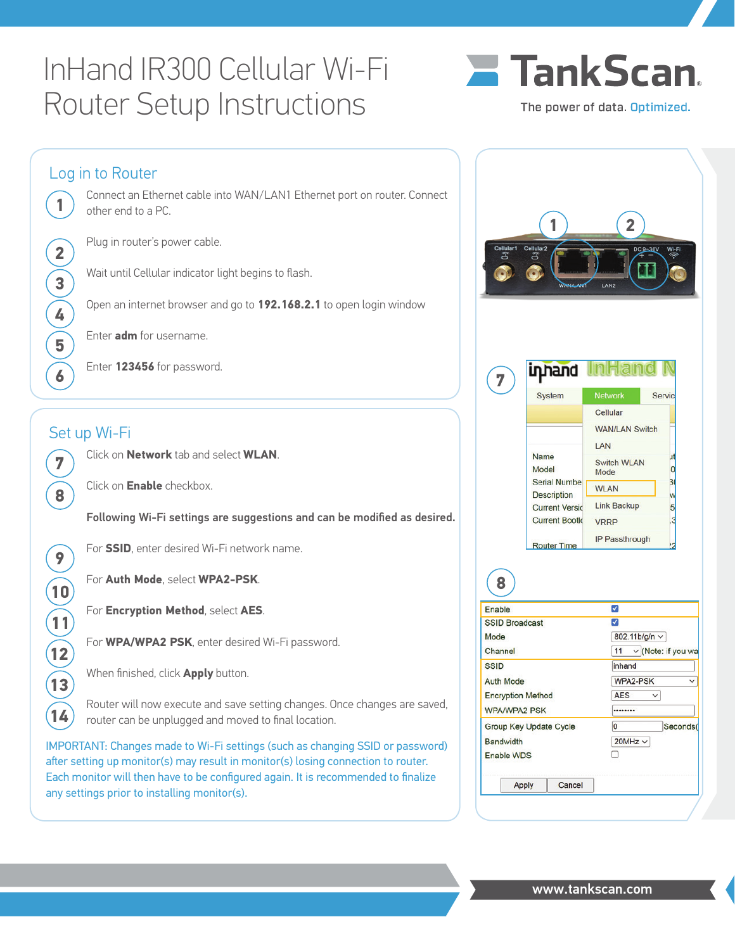# InHand IR300 Cellular Wi-Fi Router Setup Instructions

**1**

**2**

**3**

**4**

**5**

**6**

**7**

**8**

**9**

**10**

**11**

**12**

**13**

**14**



Log in to Router Connect an Ethernet cable into WAN/LAN1 Ethernet port on router. Connect other end to a PC. **1 2**Plug in router's power cable. Wait until Cellular indicator light begins to flash. Open an internet browser and go to **192.168.2.1** to open login window Enter **adm** for username. Enter **123456** for password. inhand **7** System **Network** Service Cellular **WAN/LAN Switch** Set up Wi-Fi **I AN** Click on **Network** tab and select **WLAN**. Name Switch WLAN Model  $\overline{0}$ Mode Serial Numbe Click on **Enable** checkbox. **WLAN** Description **Link Backup Current Versic**  $5<sub>l</sub>$ Following Wi-Fi settings are suggestions and can be modified as desired. **Current Bootk** VRRP IP Passthrough **Router Time** For **SSID**, enter desired Wi-Fi network name. For **Auth Mode**, select **WPA2-PSK**. **8** Enable ⊽ For **Encryption Method**, select **AES**. **SSID Broadcast** ⊽ 802.11b/g/n  $\sim$ Mode For **WPA/WPA2 PSK**, enter desired Wi-Fi password. Channel 11  $\vee$  (Note: if you wa **SSID** inhand When finished, click **Apply** button. **Auth Mode** WPA2-PSK **Encryption Method AFS**  $\vee$ Router will now execute and save setting changes. Once changes are saved, **WPA/WPA2 PSK** ........ router can be unplugged and moved to final location. Group Key Update Cycle  $\overline{\mathbf{0}}$ Seconds( **Bandwidth**  $20MHz \sim$ IMPORTANT: Changes made to Wi-Fi settings (such as changing SSID or password) Enable WDS n

after setting up monitor(s) may result in monitor(s) losing connection to router. Each monitor will then have to be configured again. It is recommended to finalize any settings prior to installing monitor(s).

Cancel

Apply